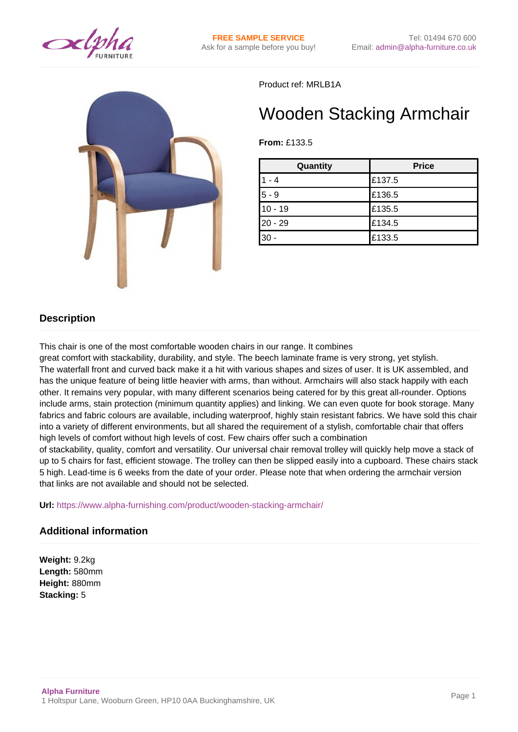



Product ref: MRLB1A

## Wooden Stacking Armchair

**From:** £133.5

| Quantity  | <b>Price</b> |
|-----------|--------------|
| $1 - 4$   | £137.5       |
| $5 - 9$   | £136.5       |
| $10 - 19$ | £135.5       |
| $20 - 29$ | £134.5       |
| $30 -$    | £133.5       |

## **Description**

This chair is one of the most comfortable wooden chairs in our range. It combines

great comfort with stackability, durability, and style. The beech laminate frame is very strong, yet stylish. The waterfall front and curved back make it a hit with various shapes and sizes of user. It is UK assembled, and has the unique feature of being little heavier with arms, than without. Armchairs will also stack happily with each other. It remains very popular, with many different scenarios being catered for by this great all-rounder. Options include arms, stain protection (minimum quantity applies) and linking. We can even quote for book storage. Many fabrics and fabric colours are available, including waterproof, highly stain resistant fabrics. We have sold this chair into a variety of different environments, but all shared the requirement of a stylish, comfortable chair that offers high levels of comfort without high levels of cost. Few chairs offer such a combination

of stackability, quality, comfort and versatility. Our universal chair removal trolley will quickly help move a stack of up to 5 chairs for fast, efficient stowage. The trolley can then be slipped easily into a cupboard. These chairs stack 5 high. Lead-time is 6 weeks from the date of your order. Please note that when ordering the armchair version that links are not available and should not be selected.

**Url:** <https://www.alpha-furnishing.com/product/wooden-stacking-armchair/>

## **Additional information**

**Weight:** 9.2kg **Length:** 580mm **Height:** 880mm **Stacking:** 5